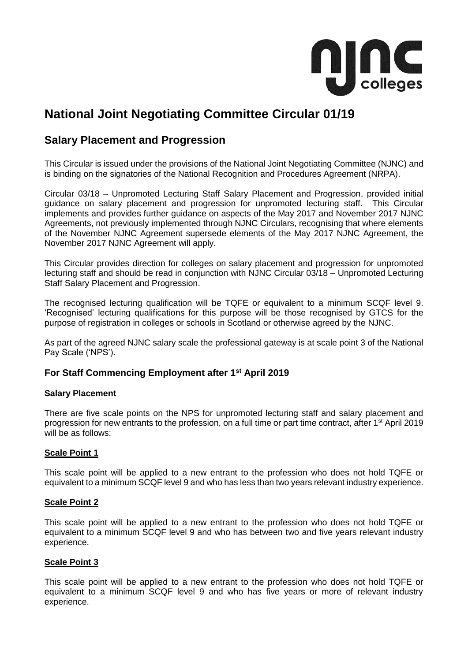

# **National Joint Negotiating Committee Circular 01/19**

# **Salary Placement and Progression**

This Circular is issued under the provisions of the National Joint Negotiating Committee (NJNC) and is binding on the signatories of the National Recognition and Procedures Agreement (NRPA).

Circular 03/18 – Unpromoted Lecturing Staff Salary Placement and Progression, provided initial guidance on salary placement and progression for unpromoted lecturing staff. This Circular implements and provides further guidance on aspects of the May 2017 and November 2017 NJNC Agreements, not previously implemented through NJNC Circulars, recognising that where elements of the November NJNC Agreement supersede elements of the May 2017 NJNC Agreement, the November 2017 NJNC Agreement will apply.

This Circular provides direction for colleges on salary placement and progression for unpromoted lecturing staff and should be read in conjunction with NJNC Circular 03/18 – Unpromoted Lecturing Staff Salary Placement and Progression.

The recognised lecturing qualification will be TQFE or equivalent to a minimum SCQF level 9. 'Recognised' lecturing qualifications for this purpose will be those recognised by GTCS for the purpose of registration in colleges or schools in Scotland or otherwise agreed by the NJNC.

As part of the agreed NJNC salary scale the professional gateway is at scale point 3 of the National Pay Scale ('NPS').

# **For Staff Commencing Employment after 1st April 2019**

#### **Salary Placement**

There are five scale points on the NPS for unpromoted lecturing staff and salary placement and progression for new entrants to the profession, on a full time or part time contract, after 1st April 2019 will be as follows:

#### **Scale Point 1**

This scale point will be applied to a new entrant to the profession who does not hold TQFE or equivalent to a minimum SCQF level 9 and who has less than two years relevant industry experience.

#### **Scale Point 2**

This scale point will be applied to a new entrant to the profession who does not hold TQFE or equivalent to a minimum SCQF level 9 and who has between two and five years relevant industry experience.

#### **Scale Point 3**

This scale point will be applied to a new entrant to the profession who does not hold TQFE or equivalent to a minimum SCQF level 9 and who has five years or more of relevant industry experience.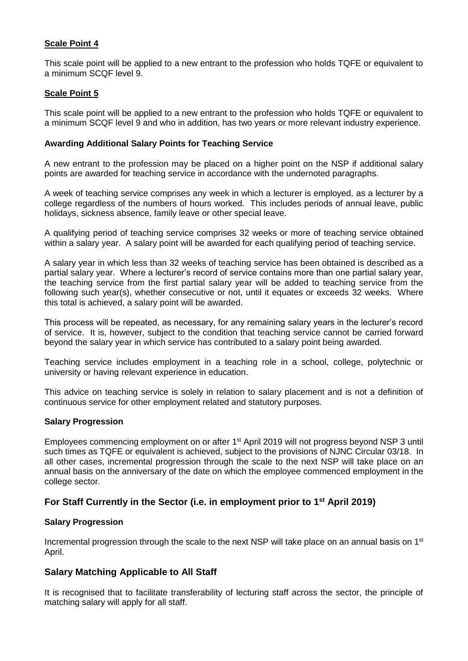### **Scale Point 4**

This scale point will be applied to a new entrant to the profession who holds TQFE or equivalent to a minimum SCQF level 9.

#### **Scale Point 5**

This scale point will be applied to a new entrant to the profession who holds TQFE or equivalent to a minimum SCQF level 9 and who in addition, has two years or more relevant industry experience.

#### **Awarding Additional Salary Points for Teaching Service**

A new entrant to the profession may be placed on a higher point on the NSP if additional salary points are awarded for teaching service in accordance with the undernoted paragraphs.

A week of teaching service comprises any week in which a lecturer is employed, as a lecturer by a college regardless of the numbers of hours worked. This includes periods of annual leave, public holidays, sickness absence, family leave or other special leave.

A qualifying period of teaching service comprises 32 weeks or more of teaching service obtained within a salary year. A salary point will be awarded for each qualifying period of teaching service.

A salary year in which less than 32 weeks of teaching service has been obtained is described as a partial salary year. Where a lecturer's record of service contains more than one partial salary year, the teaching service from the first partial salary year will be added to teaching service from the following such year(s), whether consecutive or not, until it equates or exceeds 32 weeks. Where this total is achieved, a salary point will be awarded.

This process will be repeated, as necessary, for any remaining salary years in the lecturer's record of service. It is, however, subject to the condition that teaching service cannot be carried forward beyond the salary year in which service has contributed to a salary point being awarded.

Teaching service includes employment in a teaching role in a school, college, polytechnic or university or having relevant experience in education.

This advice on teaching service is solely in relation to salary placement and is not a definition of continuous service for other employment related and statutory purposes.

#### **Salary Progression**

Employees commencing employment on or after 1<sup>st</sup> April 2019 will not progress beyond NSP 3 until such times as TQFE or equivalent is achieved, subject to the provisions of NJNC Circular 03/18. In all other cases, incremental progression through the scale to the next NSP will take place on an annual basis on the anniversary of the date on which the employee commenced employment in the college sector.

# **For Staff Currently in the Sector (i.e. in employment prior to 1st April 2019)**

#### **Salary Progression**

Incremental progression through the scale to the next NSP will take place on an annual basis on  $1<sup>st</sup>$ April.

#### **Salary Matching Applicable to All Staff**

It is recognised that to facilitate transferability of lecturing staff across the sector, the principle of matching salary will apply for all staff.